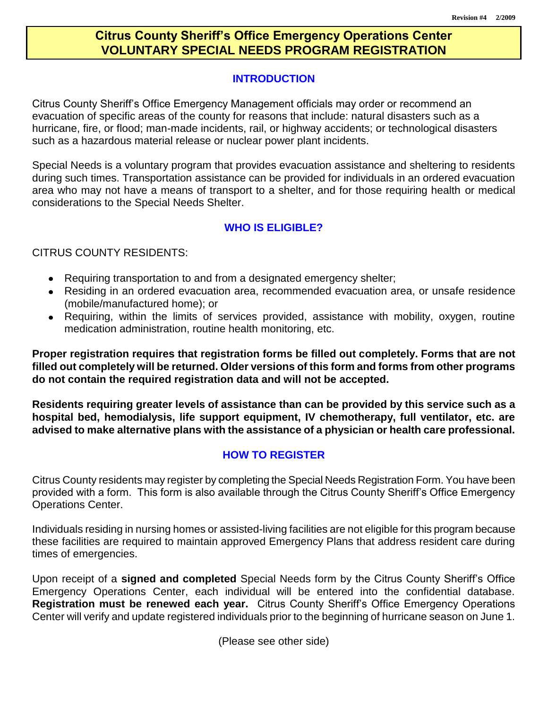# **Citrus County Sheriff's Office Emergency Operations Center VOLUNTARY SPECIAL NEEDS PROGRAM REGISTRATION**

# **INTRODUCTION**

Citrus County Sheriff's Office Emergency Management officials may order or recommend an evacuation of specific areas of the county for reasons that include: natural disasters such as a hurricane, fire, or flood; man-made incidents, rail, or highway accidents; or technological disasters such as a hazardous material release or nuclear power plant incidents.

Special Needs is a voluntary program that provides evacuation assistance and sheltering to residents during such times. Transportation assistance can be provided for individuals in an ordered evacuation area who may not have a means of transport to a shelter, and for those requiring health or medical considerations to the Special Needs Shelter.

# **WHO IS ELIGIBLE?**

CITRUS COUNTY RESIDENTS:

- Requiring transportation to and from a designated emergency shelter;
- Residing in an ordered evacuation area, recommended evacuation area, or unsafe residence (mobile/manufactured home); or
- Requiring, within the limits of services provided, assistance with mobility, oxygen, routine medication administration, routine health monitoring, etc.

**Proper registration requires that registration forms be filled out completely. Forms that are not filled out completely will be returned. Older versions of this form and forms from other programs do not contain the required registration data and will not be accepted.**

**Residents requiring greater levels of assistance than can be provided by this service such as a hospital bed, hemodialysis, life support equipment, IV chemotherapy, full ventilator, etc. are advised to make alternative plans with the assistance of a physician or health care professional.**

## **HOW TO REGISTER**

Citrus County residents may register by completing the Special Needs Registration Form. You have been provided with a form. This form is also available through the Citrus County Sheriff's Office Emergency Operations Center.

Individuals residing in nursing homes or assisted-living facilities are not eligible for this program because these facilities are required to maintain approved Emergency Plans that address resident care during times of emergencies.

Upon receipt of a **signed and completed** Special Needs form by the Citrus County Sheriff's Office Emergency Operations Center, each individual will be entered into the confidential database. **Registration must be renewed each year.** Citrus County Sheriff's Office Emergency Operations Center will verify and update registered individuals prior to the beginning of hurricane season on June 1.

(Please see other side)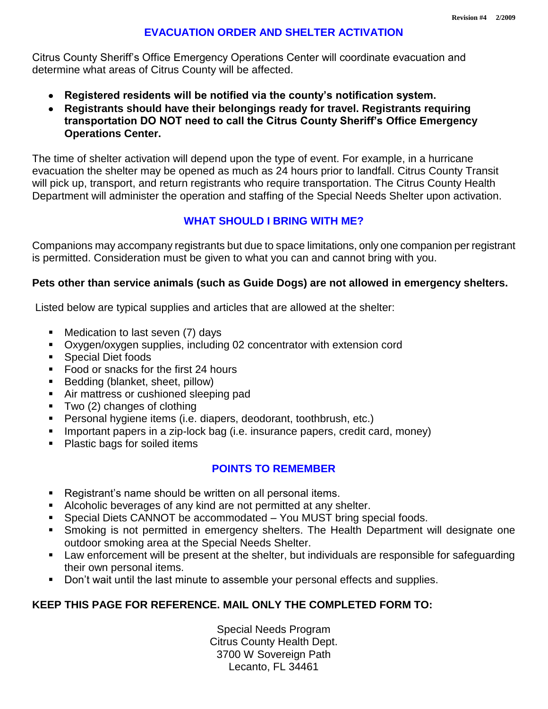#### **EVACUATION ORDER AND SHELTER ACTIVATION**

Citrus County Sheriff's Office Emergency Operations Center will coordinate evacuation and determine what areas of Citrus County will be affected.

- **Registered residents will be notified via the county's notification system.**
- **Registrants should have their belongings ready for travel. Registrants requiring transportation DO NOT need to call the Citrus County Sheriff's Office Emergency Operations Center.**

The time of shelter activation will depend upon the type of event. For example, in a hurricane evacuation the shelter may be opened as much as 24 hours prior to landfall. Citrus County Transit will pick up, transport, and return registrants who require transportation. The Citrus County Health Department will administer the operation and staffing of the Special Needs Shelter upon activation.

# **WHAT SHOULD I BRING WITH ME?**

Companions may accompany registrants but due to space limitations, only one companion per registrant is permitted. Consideration must be given to what you can and cannot bring with you.

## **Pets other than service animals (such as Guide Dogs) are not allowed in emergency shelters.**

Listed below are typical supplies and articles that are allowed at the shelter:

- Medication to last seven (7) days
- Oxygen/oxygen supplies, including 02 concentrator with extension cord
- Special Diet foods
- Food or snacks for the first 24 hours
- Bedding (blanket, sheet, pillow)
- Air mattress or cushioned sleeping pad
- Two (2) changes of clothing
- Personal hygiene items (i.e. diapers, deodorant, toothbrush, etc.)
- **IMPORTANT PROTE:** In a zip-lock bag (i.e. insurance papers, credit card, money)
- Plastic bags for soiled items

## **POINTS TO REMEMBER**

- Registrant's name should be written on all personal items.
- Alcoholic beverages of any kind are not permitted at any shelter.
- Special Diets CANNOT be accommodated You MUST bring special foods.
- Smoking is not permitted in emergency shelters. The Health Department will designate one outdoor smoking area at the Special Needs Shelter.
- Law enforcement will be present at the shelter, but individuals are responsible for safeguarding their own personal items.
- **Don't wait until the last minute to assemble your personal effects and supplies.**

## **KEEP THIS PAGE FOR REFERENCE. MAIL ONLY THE COMPLETED FORM TO:**

Special Needs Program Citrus County Health Dept. 3700 W Sovereign Path Lecanto, FL 34461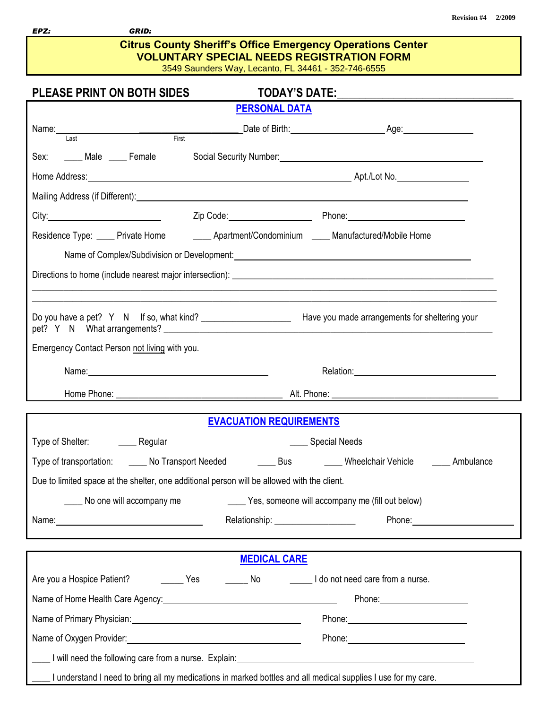*EPZ: GRID:*

# **Citrus County Sheriff's Office Emergency Operations Center VOLUNTARY SPECIAL NEEDS REGISTRATION FORM**

3549 Saunders Way, Lecanto, FL 34461 - 352-746-6555

| <b>PLEASE PRINT ON BOTH SIDES</b>                                                                                                                                                                                             |                                        |                                                                                                                                                                                                                                |  |  |  |  |  |  |
|-------------------------------------------------------------------------------------------------------------------------------------------------------------------------------------------------------------------------------|----------------------------------------|--------------------------------------------------------------------------------------------------------------------------------------------------------------------------------------------------------------------------------|--|--|--|--|--|--|
| <b>PERSONAL DATA</b>                                                                                                                                                                                                          |                                        |                                                                                                                                                                                                                                |  |  |  |  |  |  |
|                                                                                                                                                                                                                               |                                        |                                                                                                                                                                                                                                |  |  |  |  |  |  |
|                                                                                                                                                                                                                               |                                        |                                                                                                                                                                                                                                |  |  |  |  |  |  |
|                                                                                                                                                                                                                               |                                        |                                                                                                                                                                                                                                |  |  |  |  |  |  |
|                                                                                                                                                                                                                               |                                        |                                                                                                                                                                                                                                |  |  |  |  |  |  |
| City: 2010 City: 2010 21p Code: 2010 21p Code: 2010 21p Code: 2010 21p Code: 2010 21p Code: 2010 21p Code: 201                                                                                                                |                                        |                                                                                                                                                                                                                                |  |  |  |  |  |  |
| Residence Type: ____ Private Home ________ Apartment/Condominium _____ Manufactured/Mobile Home                                                                                                                               |                                        |                                                                                                                                                                                                                                |  |  |  |  |  |  |
|                                                                                                                                                                                                                               |                                        |                                                                                                                                                                                                                                |  |  |  |  |  |  |
|                                                                                                                                                                                                                               |                                        |                                                                                                                                                                                                                                |  |  |  |  |  |  |
|                                                                                                                                                                                                                               |                                        | <u> 1989 - Johann Stoff, deutscher Stoff, der Stoff, der Stoff, der Stoff, der Stoff, der Stoff, der Stoff, der S</u>                                                                                                          |  |  |  |  |  |  |
|                                                                                                                                                                                                                               |                                        | Do you have a pet? Y N If so, what kind? __________________________ Have you made arrangements for sheltering your                                                                                                             |  |  |  |  |  |  |
| Emergency Contact Person not living with you.                                                                                                                                                                                 |                                        |                                                                                                                                                                                                                                |  |  |  |  |  |  |
| Name: Name and the second contract of the second contract of the second contract of the second contract of the second contract of the second contract of the second contract of the second contract of the second contract of |                                        | Relation: Network of the Contract of the Contract of the Contract of the Contract of the Contract of the Contract of the Contract of the Contract of the Contract of the Contract of the Contract of the Contract of the Contr |  |  |  |  |  |  |
|                                                                                                                                                                                                                               |                                        |                                                                                                                                                                                                                                |  |  |  |  |  |  |
|                                                                                                                                                                                                                               |                                        |                                                                                                                                                                                                                                |  |  |  |  |  |  |
|                                                                                                                                                                                                                               | <b>EVACUATION REQUIREMENTS</b>         |                                                                                                                                                                                                                                |  |  |  |  |  |  |
|                                                                                                                                                                                                                               | <b>Example 2</b> Special Needs         |                                                                                                                                                                                                                                |  |  |  |  |  |  |
| Type of transportation: ______ No Transport Needed ________ Bus ________ Wheelchair Vehicle _______ Ambulance                                                                                                                 |                                        |                                                                                                                                                                                                                                |  |  |  |  |  |  |
| Due to limited space at the shelter, one additional person will be allowed with the client.                                                                                                                                   |                                        |                                                                                                                                                                                                                                |  |  |  |  |  |  |
| No one will accompany me                                                                                                                                                                                                      |                                        | ____ Yes, someone will accompany me (fill out below)                                                                                                                                                                           |  |  |  |  |  |  |
| Name: Name:                                                                                                                                                                                                                   | Relationship: ________________________ |                                                                                                                                                                                                                                |  |  |  |  |  |  |
|                                                                                                                                                                                                                               |                                        |                                                                                                                                                                                                                                |  |  |  |  |  |  |
|                                                                                                                                                                                                                               | <b>MEDICAL CARE</b>                    |                                                                                                                                                                                                                                |  |  |  |  |  |  |
|                                                                                                                                                                                                                               |                                        |                                                                                                                                                                                                                                |  |  |  |  |  |  |
|                                                                                                                                                                                                                               |                                        | Name of Home Health Care Agency: Name of Home Health Care Agency:                                                                                                                                                              |  |  |  |  |  |  |
|                                                                                                                                                                                                                               |                                        |                                                                                                                                                                                                                                |  |  |  |  |  |  |
| Name of Primary Physician: Name of Primary Physician:                                                                                                                                                                         |                                        |                                                                                                                                                                                                                                |  |  |  |  |  |  |
| Name of Oxygen Provider:                                                                                                                                                                                                      |                                        | Phone: 2008 Phone: 2008 Phone: 2008 Phone: 2008 Phone: 2008 Phone: 2008 Phone: 2008 Phone: 2008 Phone: 2008 Phone: 2008 Phone: 2008 Phone: 2008 Phone: 2008 Phone: 2008 Phone: 2008 Phone: 2008 Phone: 2008 Phone: 2008 Phone: |  |  |  |  |  |  |
|                                                                                                                                                                                                                               |                                        | I will need the following care from a nurse. Explain: I have not a matter of the following care from a nurse. Explain:                                                                                                         |  |  |  |  |  |  |